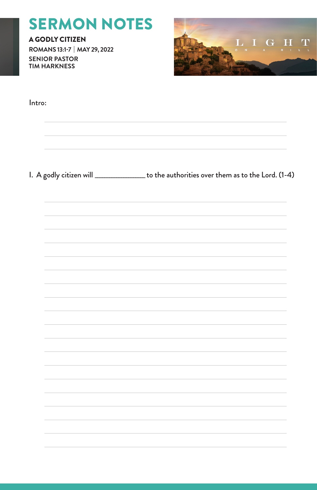# SERMON NOTES

A GODLY CITIZEN **ROMANS 13:1-7 | MAY 29, 2022 SENIOR PASTOR TIM HARKNESS**



| I. A godly citizen will <b>constantly construent</b> to the authorities over them as to the Lord. (1-4) |
|---------------------------------------------------------------------------------------------------------|
|                                                                                                         |
|                                                                                                         |
|                                                                                                         |
|                                                                                                         |
|                                                                                                         |
|                                                                                                         |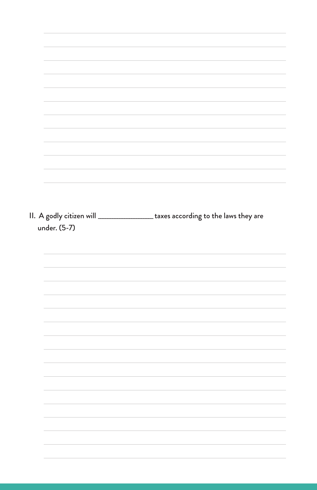|              | II. A godly citizen will __________________ taxes according to the laws they are |
|--------------|----------------------------------------------------------------------------------|
| under. (5-7) |                                                                                  |
|              |                                                                                  |
|              |                                                                                  |
|              |                                                                                  |
|              |                                                                                  |
|              |                                                                                  |
|              |                                                                                  |
|              |                                                                                  |
|              |                                                                                  |
|              |                                                                                  |
|              |                                                                                  |
|              |                                                                                  |
|              |                                                                                  |
|              |                                                                                  |
|              |                                                                                  |
|              |                                                                                  |
|              |                                                                                  |
|              |                                                                                  |
|              |                                                                                  |
|              |                                                                                  |
|              |                                                                                  |
|              |                                                                                  |
|              |                                                                                  |
|              |                                                                                  |
|              |                                                                                  |
|              |                                                                                  |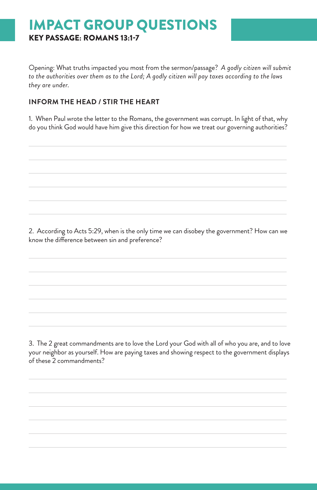# IMPACT GROUP QUESTIONS KEY PASSAGE: ROMANS 13:1-7

Opening: What truths impacted you most from the sermon/passage? *A godly citizen will submit to the authorities over them as to the Lord; A godly citizen will pay taxes according to the laws they are under.*

#### **INFORM THE HEAD / STIR THE HEART**

1. When Paul wrote the letter to the Romans, the government was corrupt. In light of that, why do you think God would have him give this direction for how we treat our governing authorities?

2. According to Acts 5:29, when is the only time we can disobey the government? How can we know the difference between sin and preference?

3. The 2 great commandments are to love the Lord your God with all of who you are, and to love your neighbor as yourself. How are paying taxes and showing respect to the government displays of these 2 commandments?